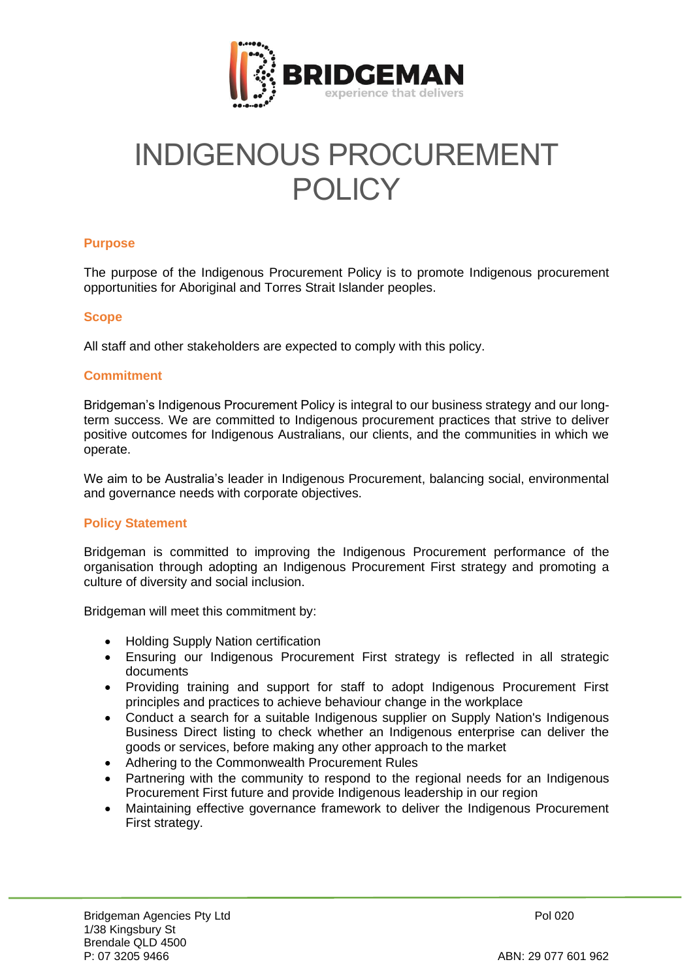

# INDIGENOUS PROCUREMENT POLICY

### **Purpose**

The purpose of the Indigenous Procurement Policy is to promote Indigenous procurement opportunities for Aboriginal and Torres Strait Islander peoples.

### **Scope**

All staff and other stakeholders are expected to comply with this policy.

### **Commitment**

Bridgeman's Indigenous Procurement Policy is integral to our business strategy and our longterm success. We are committed to Indigenous procurement practices that strive to deliver positive outcomes for Indigenous Australians, our clients, and the communities in which we operate.

We aim to be Australia's leader in Indigenous Procurement, balancing social, environmental and governance needs with corporate objectives.

## **Policy Statement**

Bridgeman is committed to improving the Indigenous Procurement performance of the organisation through adopting an Indigenous Procurement First strategy and promoting a culture of diversity and social inclusion.

Bridgeman will meet this commitment by:

- Holding Supply Nation certification
- Ensuring our Indigenous Procurement First strategy is reflected in all strategic documents
- Providing training and support for staff to adopt Indigenous Procurement First principles and practices to achieve behaviour change in the workplace
- Conduct a search for a suitable Indigenous supplier on Supply Nation's Indigenous Business Direct listing to check whether an Indigenous enterprise can deliver the goods or services, before making any other approach to the market
- Adhering to the Commonwealth Procurement Rules
- Partnering with the community to respond to the regional needs for an Indigenous Procurement First future and provide Indigenous leadership in our region
- Maintaining effective governance framework to deliver the Indigenous Procurement First strategy.